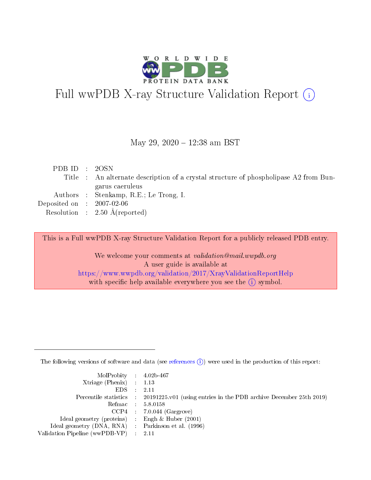

# Full wwPDB X-ray Structure Validation Report (i)

#### May 29, 2020 - 12:38 am BST

| PDB ID : 2OSN                        |                                                                                       |
|--------------------------------------|---------------------------------------------------------------------------------------|
|                                      | Title : An alternate description of a crystal structure of phospholipase A2 from Bun- |
|                                      | garus caeruleus                                                                       |
|                                      | Authors : Stenkamp, R.E.; Le Trong, I.                                                |
| Deposited on $\therefore$ 2007-02-06 |                                                                                       |
|                                      | Resolution : $2.50 \text{ Å}$ (reported)                                              |

This is a Full wwPDB X-ray Structure Validation Report for a publicly released PDB entry.

We welcome your comments at validation@mail.wwpdb.org A user guide is available at <https://www.wwpdb.org/validation/2017/XrayValidationReportHelp> with specific help available everywhere you see the  $(i)$  symbol.

The following versions of software and data (see [references](https://www.wwpdb.org/validation/2017/XrayValidationReportHelp#references)  $(i)$ ) were used in the production of this report:

| $MolProbability$ 4.02b-467                          |                                                                                            |
|-----------------------------------------------------|--------------------------------------------------------------------------------------------|
| Xtriage (Phenix) $: 1.13$                           |                                                                                            |
| $EDS$ :                                             | -2.11                                                                                      |
|                                                     | Percentile statistics : 20191225.v01 (using entries in the PDB archive December 25th 2019) |
|                                                     | Refmac : 5.8.0158                                                                          |
|                                                     | $CCP4$ : 7.0.044 (Gargrove)                                                                |
| Ideal geometry (proteins) : Engh $\&$ Huber (2001)  |                                                                                            |
| Ideal geometry (DNA, RNA) : Parkinson et al. (1996) |                                                                                            |
| Validation Pipeline (wwPDB-VP)                      | -2.11                                                                                      |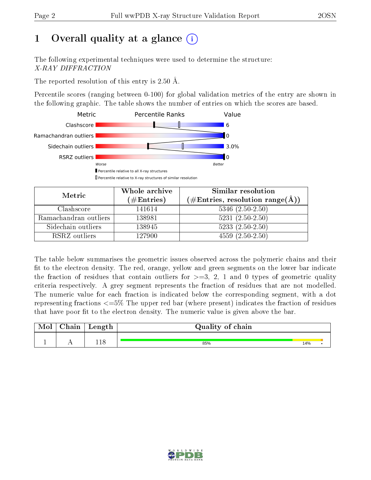# 1 [O](https://www.wwpdb.org/validation/2017/XrayValidationReportHelp#overall_quality)verall quality at a glance  $(i)$

The following experimental techniques were used to determine the structure: X-RAY DIFFRACTION

The reported resolution of this entry is 2.50 Å.

Percentile scores (ranging between 0-100) for global validation metrics of the entry are shown in the following graphic. The table shows the number of entries on which the scores are based.



| Metric                | Whole archive        | Similar resolution                                        |
|-----------------------|----------------------|-----------------------------------------------------------|
|                       | $(\#\text{Entries})$ | $(\#\text{Entries}, \text{resolution range}(\text{\AA}))$ |
| Clashscore            | 141614               | $5346$ $(2.50-2.50)$                                      |
| Ramachandran outliers | 138981               | $5231(2.50-2.50)$                                         |
| Sidechain outliers    | 138945               | $5233(2.50-2.50)$                                         |
| RSRZ outliers         | 127900               | $4559(2.50-2.50)$                                         |

The table below summarises the geometric issues observed across the polymeric chains and their fit to the electron density. The red, orange, yellow and green segments on the lower bar indicate the fraction of residues that contain outliers for  $\geq=3$ , 2, 1 and 0 types of geometric quality criteria respectively. A grey segment represents the fraction of residues that are not modelled. The numeric value for each fraction is indicated below the corresponding segment, with a dot representing fractions  $\epsilon = 5\%$  The upper red bar (where present) indicates the fraction of residues that have poor fit to the electron density. The numeric value is given above the bar.

| ${\bf Chain}$ | Length | Quality of chain |     |  |
|---------------|--------|------------------|-----|--|
|               |        |                  |     |  |
|               | ' 1 റ  | 85%              | 14% |  |

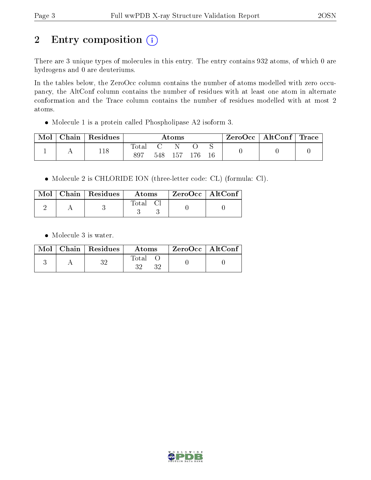# 2 Entry composition (i)

There are 3 unique types of molecules in this entry. The entry contains 932 atoms, of which 0 are hydrogens and 0 are deuteriums.

In the tables below, the ZeroOcc column contains the number of atoms modelled with zero occupancy, the AltConf column contains the number of residues with at least one atom in alternate conformation and the Trace column contains the number of residues modelled with at most 2 atoms.

Molecule 1 is a protein called Phospholipase A2 isoform 3.

| Mol | Chain   $Residues$ | $\rm{Atoms}$          |  |             | $\text{ZeroOcc} \mid \text{AltConf} \mid \text{Trace}$ |  |  |  |
|-----|--------------------|-----------------------|--|-------------|--------------------------------------------------------|--|--|--|
|     | 118                | $\text{Total}$<br>897 |  | 548 157 176 |                                                        |  |  |  |

Molecule 2 is CHLORIDE ION (three-letter code: CL) (formula: Cl).

|  | $Mol$   Chain   Residues | Atoms    | $^\top$ ZeroOcc   AltConf |  |
|--|--------------------------|----------|---------------------------|--|
|  |                          | Total Cl |                           |  |

• Molecule 3 is water.

|  | $Mol$   Chain   Residues | Atoms                    | $ZeroOcc \mid AltConf \mid$ |
|--|--------------------------|--------------------------|-----------------------------|
|  |                          | $\rm Total$<br>ว ว<br>າາ |                             |

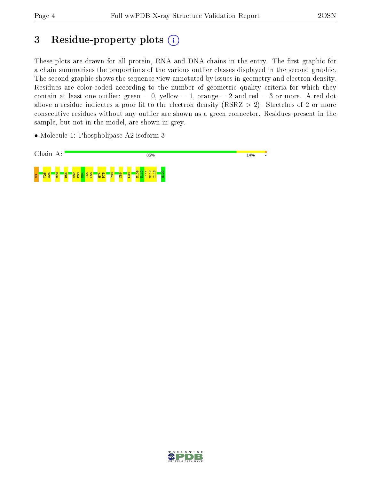# 3 Residue-property plots  $(i)$

These plots are drawn for all protein, RNA and DNA chains in the entry. The first graphic for a chain summarises the proportions of the various outlier classes displayed in the second graphic. The second graphic shows the sequence view annotated by issues in geometry and electron density. Residues are color-coded according to the number of geometric quality criteria for which they contain at least one outlier: green  $= 0$ , yellow  $= 1$ , orange  $= 2$  and red  $= 3$  or more. A red dot above a residue indicates a poor fit to the electron density (RSRZ  $> 2$ ). Stretches of 2 or more consecutive residues without any outlier are shown as a green connector. Residues present in the sample, but not in the model, are shown in grey.

• Molecule 1: Phospholipase A2 isoform 3



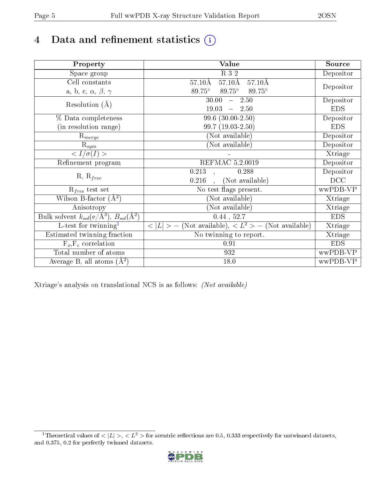# 4 Data and refinement statistics  $\bigcirc$

| Property                                                         | Value                                                                          | Source     |
|------------------------------------------------------------------|--------------------------------------------------------------------------------|------------|
| Space group                                                      | $R_32$                                                                         | Depositor  |
| Cell constants                                                   | $57.10\text{\AA}$<br>$57.10\text{\AA}$<br>$57.10\text{\AA}$                    |            |
| a, b, c, $\alpha$ , $\beta$ , $\gamma$                           | $89.75^\circ$<br>$89.75^{\circ}$ $89.75^{\circ}$                               | Depositor  |
| Resolution $(A)$                                                 | $30.00 - 2.50$                                                                 | Depositor  |
|                                                                  | $19.03 - 2.50$                                                                 | <b>EDS</b> |
| % Data completeness                                              | $99.6$ $(30.00-2.50)$                                                          | Depositor  |
| (in resolution range)                                            | $99.7(19.03-2.50)$                                                             | <b>EDS</b> |
| $R_{merge}$                                                      | (Not available)                                                                | Depositor  |
| $\mathrm{R}_{sym}$                                               | (Not available)                                                                | Depositor  |
| $\langle I/\sigma(I)\rangle$                                     |                                                                                | Xtriage    |
| Refinement program                                               | <b>REFMAC 5.2.0019</b>                                                         | Depositor  |
| $R, R_{free}$                                                    | 0.213<br>0.288<br>$\ddot{\phantom{a}}$                                         | Depositor  |
|                                                                  | (Not available)<br>0.216<br>$\mathcal{L}$                                      | DCC        |
| $R_{free}$ test set                                              | No test flags present.                                                         | wwPDB-VP   |
| Wilson B-factor $(A^2)$                                          | (Not available)                                                                | Xtriage    |
| Anisotropy                                                       | (Not available)                                                                | Xtriage    |
| Bulk solvent $k_{sol}(\text{e}/\text{A}^3), B_{sol}(\text{A}^2)$ | 0.44, 52.7                                                                     | <b>EDS</b> |
| $\overline{L-t}$ est for twinning <sup>1</sup>                   | $\langle  L  \rangle = (Not available), \langle L^2 \rangle = (Not available)$ | Xtriage    |
| Estimated twinning fraction                                      | No twinning to report.                                                         | Xtriage    |
| $F_o, F_c$ correlation                                           | 0.91                                                                           | <b>EDS</b> |
| Total number of atoms                                            | 932                                                                            | wwPDB-VP   |
| Average B, all atoms $(A^2)$                                     | 18.0                                                                           | wwPDB-VP   |

Xtriage's analysis on translational NCS is as follows: (Not available)

<span id="page-4-0"></span><sup>&</sup>lt;sup>1</sup>Theoretical values of  $\langle |L| \rangle$ ,  $\langle L^2 \rangle$  for acentric reflections are 0.5, 0.333 respectively for untwinned datasets, and 0.375, 0.2 for perfectly twinned datasets.

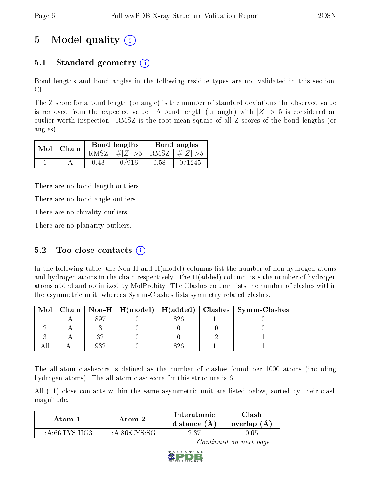# 5 Model quality  $(i)$

## 5.1 Standard geometry  $\overline{()}$

Bond lengths and bond angles in the following residue types are not validated in this section: CL

The Z score for a bond length (or angle) is the number of standard deviations the observed value is removed from the expected value. A bond length (or angle) with  $|Z| > 5$  is considered an outlier worth inspection. RMSZ is the root-mean-square of all Z scores of the bond lengths (or angles).

| $Mol$   Chain |      | Bond lengths                    | Bond angles |        |  |
|---------------|------|---------------------------------|-------------|--------|--|
|               |      | RMSZ $ #Z  > 5$ RMSZ $ #Z  > 5$ |             |        |  |
|               | 0.43 | 0/916                           | 0.58        | 0/1245 |  |

There are no bond length outliers.

There are no bond angle outliers.

There are no chirality outliers.

There are no planarity outliers.

### 5.2 Too-close contacts  $(i)$

In the following table, the Non-H and H(model) columns list the number of non-hydrogen atoms and hydrogen atoms in the chain respectively. The H(added) column lists the number of hydrogen atoms added and optimized by MolProbity. The Clashes column lists the number of clashes within the asymmetric unit, whereas Symm-Clashes lists symmetry related clashes.

| Mol |  |  | Chain   Non-H   H(model)   H(added)   Clashes   Symm-Clashes |
|-----|--|--|--------------------------------------------------------------|
|     |  |  |                                                              |
|     |  |  |                                                              |
|     |  |  |                                                              |
|     |  |  |                                                              |

The all-atom clashscore is defined as the number of clashes found per 1000 atoms (including hydrogen atoms). The all-atom clashscore for this structure is 6.

All (11) close contacts within the same asymmetric unit are listed below, sorted by their clash magnitude.

| Atom-1         | Atom-2             | <b>Interatomic</b><br>distance (A) | 7lash<br>overlap (A) |
|----------------|--------------------|------------------------------------|----------------------|
| 1 A 66 LYS HG3 | $1: A: 86: CYS-SG$ | 2.37                               | 1.65                 |

Continued on next page...

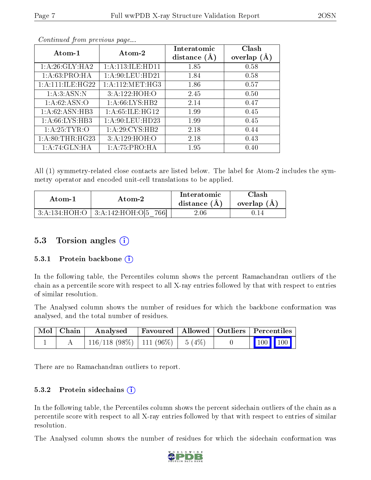| Atom-1               | Atom-2              | Interatomic    | Clash         |  |
|----------------------|---------------------|----------------|---------------|--|
|                      |                     | distance $(A)$ | overlap $(A)$ |  |
| 1: A:26: GLY: HA2    | 1: A:113: ILE: HD11 | 1.85           | 0.58          |  |
| 1:A:63:PRO:HA        | 1:A:90:LEU:HD21     | 1.84           | 0.58          |  |
| 1: A: 111: ILE: HG22 | 1: A:112: MET:HG3   | 1.86           | 0.57          |  |
| 1: A:3: ASN:N        | 3:A:122:HOH:O       | 2.45           | 0.50          |  |
| 1:A:62:ASN:O         | 1: A:66: LYS:HB2    | 2.14           | 0.47          |  |
| 1: A:62: ASN:HB3     | 1: A:65: ILE: HG12  | 1.99           | 0.45          |  |
| 1: A:66: LYS:HB3     | 1: A:90: LEU: HD23  | 1.99           | 0.45          |  |
| 1: A:25: TYR:O       | 1:A:29:CYS:HB2      | 2.18           | 0.44          |  |
| 1: A:80:THR:HG23     | 3:A:129:HOH:O       | 2.18           | 0.43          |  |
| 1:A:74:GLN:HA        | 1: A:75:PRO:HA      | 1.95           | 0.40          |  |

Continued from previous page...

All (1) symmetry-related close contacts are listed below. The label for Atom-2 includes the symmetry operator and encoded unit-cell translations to be applied.

| Atom-1 | Atom-2                                       |          | $\cap$ lash<br>overlap $(A)$ |  |
|--------|----------------------------------------------|----------|------------------------------|--|
|        | $3:A:134:HOH:O$   $3:A:142:HOH:O[5]$<br>7661 | $2.06\,$ |                              |  |

### 5.3 Torsion angles (i)

#### 5.3.1 Protein backbone  $(i)$

In the following table, the Percentiles column shows the percent Ramachandran outliers of the chain as a percentile score with respect to all X-ray entries followed by that with respect to entries of similar resolution.

The Analysed column shows the number of residues for which the backbone conformation was analysed, and the total number of residues.

| $\mid$ Mol $\mid$ Chain $\mid$ | Analysed                                |  | Favoured   Allowed   Outliers   Percentiles |  |                                                                                    |
|--------------------------------|-----------------------------------------|--|---------------------------------------------|--|------------------------------------------------------------------------------------|
|                                | $116/118$ (98\%)   111 (96\%)   5 (4\%) |  |                                             |  | $\begin{array}{ c c c c c }\n\hline\n\multicolumn{1}{ c }{100} & 100\n\end{array}$ |

There are no Ramachandran outliers to report.

#### 5.3.2 Protein sidechains  $(i)$

In the following table, the Percentiles column shows the percent sidechain outliers of the chain as a percentile score with respect to all X-ray entries followed by that with respect to entries of similar resolution.

The Analysed column shows the number of residues for which the sidechain conformation was

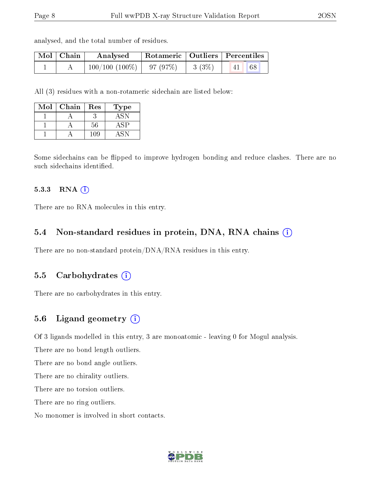analysed, and the total number of residues.

| Mol   Chain | Analysed                    | $\mid$ Rotameric $\mid$ Outliers $\mid$ Percentiles |          |                                        |  |  |
|-------------|-----------------------------|-----------------------------------------------------|----------|----------------------------------------|--|--|
|             | $100/100(100\%)$   97 (97%) |                                                     | $3(3\%)$ | 68<br>$\blacksquare$ 41 $\blacksquare$ |  |  |

All (3) residues with a non-rotameric sidechain are listed below:

| Mol | Chain | Res | Type |
|-----|-------|-----|------|
|     |       |     |      |
|     |       | 56  |      |
|     |       | -09 |      |

Some sidechains can be flipped to improve hydrogen bonding and reduce clashes. There are no such sidechains identified.

#### 5.3.3 RNA [O](https://www.wwpdb.org/validation/2017/XrayValidationReportHelp#rna)i

There are no RNA molecules in this entry.

#### 5.4 Non-standard residues in protein, DNA, RNA chains (i)

There are no non-standard protein/DNA/RNA residues in this entry.

#### 5.5 Carbohydrates  $(i)$

There are no carbohydrates in this entry.

#### 5.6 Ligand geometry (i)

Of 3 ligands modelled in this entry, 3 are monoatomic - leaving 0 for Mogul analysis.

There are no bond length outliers.

There are no bond angle outliers.

There are no chirality outliers.

There are no torsion outliers.

There are no ring outliers.

No monomer is involved in short contacts.

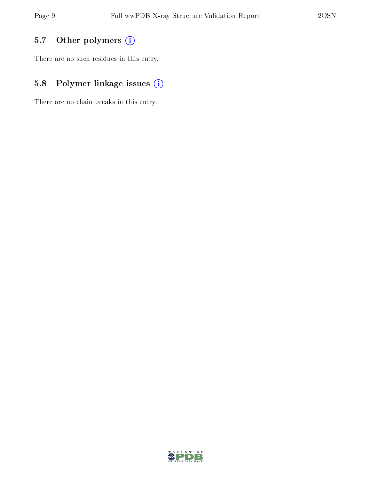## 5.7 [O](https://www.wwpdb.org/validation/2017/XrayValidationReportHelp#nonstandard_residues_and_ligands)ther polymers (i)

There are no such residues in this entry.

## 5.8 Polymer linkage issues (i)

There are no chain breaks in this entry.